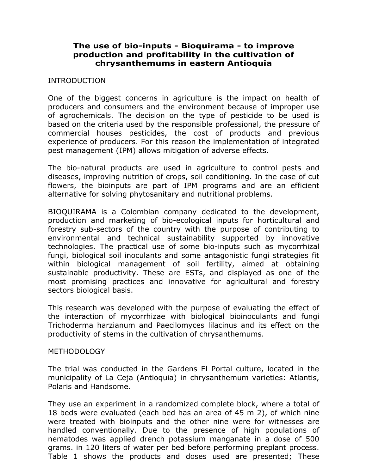## **The use of bio-inputs - Bioquirama - to improve production and profitability in the cultivation of chrysanthemums in eastern Antioquia**

### INTRODUCTION

One of the biggest concerns in agriculture is the impact on health of producers and consumers and the environment because of improper use of agrochemicals. The decision on the type of pesticide to be used is based on the criteria used by the responsible professional, the pressure of commercial houses pesticides, the cost of products and previous experience of producers. For this reason the implementation of integrated pest management (IPM) allows mitigation of adverse effects.

The bio-natural products are used in agriculture to control pests and diseases, improving nutrition of crops, soil conditioning. In the case of cut flowers, the bioinputs are part of IPM programs and are an efficient alternative for solving phytosanitary and nutritional problems.

BIOQUIRAMA is a Colombian company dedicated to the development, production and marketing of bio-ecological inputs for horticultural and forestry sub-sectors of the country with the purpose of contributing to environmental and technical sustainability supported by innovative technologies. The practical use of some bio-inputs such as mycorrhizal fungi, biological soil inoculants and some antagonistic fungi strategies fit within biological management of soil fertility, aimed at obtaining sustainable productivity. These are ESTs, and displayed as one of the most promising practices and innovative for agricultural and forestry sectors biological basis.

This research was developed with the purpose of evaluating the effect of the interaction of mycorrhizae with biological bioinoculants and fungi Trichoderma harzianum and Paecilomyces lilacinus and its effect on the productivity of stems in the cultivation of chrysanthemums.

#### METHODOLOGY

The trial was conducted in the Gardens El Portal culture, located in the municipality of La Ceja (Antioquia) in chrysanthemum varieties: Atlantis, Polaris and Handsome.

They use an experiment in a randomized complete block, where a total of 18 beds were evaluated (each bed has an area of 45 m 2), of which nine were treated with bioinputs and the other nine were for witnesses are handled conventionally. Due to the presence of high populations of nematodes was applied drench potassium manganate in a dose of 500 grams. in 120 liters of water per bed before performing preplant process. Table 1 shows the products and doses used are presented; These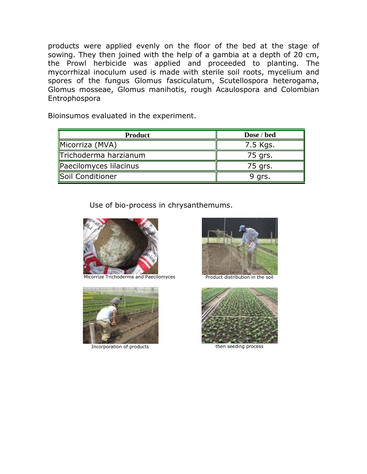products were applied evenly on the floor of the bed at the stage of sowing. They then joined with the help of a gambia at a depth of 20 cm, the Prowl herbicide was applied and proceeded to planting. The mycorrhizal inoculum used is made with sterile soil roots, mycelium and spores of the fungus Glomus fasciculatum, Scutellospora heterogama, Glomus mosseae, Glomus manihotis, rough Acaulospora and Colombian Entrophospora

Bioinsumos evaluated in the experiment.

| <b>Product</b>         | Dose / bed |
|------------------------|------------|
| Micorriza (MVA)        | 7.5 Kgs.   |
| Trichoderma harzianum  | 75 grs.    |
| Paecilomyces lilacinus | 75 grs.    |
| Soil Conditioner       | 9 grs.     |

Use of bio-process in chrysanthemums.



Micorrize Trichoderma and Paecilomyces Product distribution in the soil



Incorporation of products then seeding process



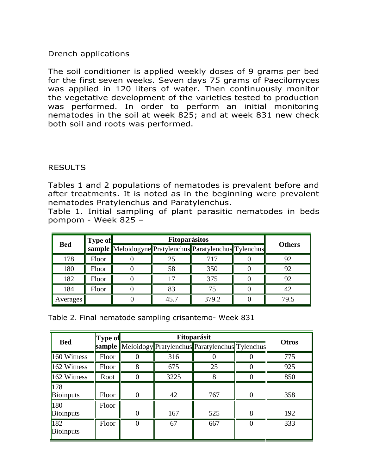# Drench applications

The soil conditioner is applied weekly doses of 9 grams per bed for the first seven weeks. Seven days 75 grams of Paecilomyces was applied in 120 liters of water. Then continuously monitor the vegetative development of the varieties tested to production was performed. In order to perform an initial monitoring nematodes in the soil at week 825; and at week 831 new check both soil and roots was performed.

## RESULTS

Tables 1 and 2 populations of nematodes is prevalent before and after treatments. It is noted as in the beginning were prevalent nematodes Pratylenchus and Paratylenchus.

Table 1. Initial sampling of plant parasitic nematodes in beds pompom - Week 825 –

|            | <b>Type of</b> | <b>Fitoparásitos</b> |      |                                                         |  |               |
|------------|----------------|----------------------|------|---------------------------------------------------------|--|---------------|
| <b>Bed</b> |                |                      |      | sample Meloidogyne Pratylenchus Paratylenchus Tylenchus |  | <b>Others</b> |
| 178        | Floor          |                      | 25   | 717                                                     |  | 92            |
| 180        | Floor          |                      | 58   | 350                                                     |  | 92            |
| 182        | Floor          |                      |      | 375                                                     |  | 92            |
| 184        | Floor          |                      | 83   | 75                                                      |  | 42            |
| Averages   |                |                      | 45.7 | 379.2                                                   |  | 79.5          |

| Table 2. Final nematode sampling crisantemo- Week 831 |  |
|-------------------------------------------------------|--|
|-------------------------------------------------------|--|

|                     | <b>Type of</b> | Fitoparásit |      |                                                              |   |              |
|---------------------|----------------|-------------|------|--------------------------------------------------------------|---|--------------|
| <b>Bed</b>          |                |             |      | <b>sample</b> Meloidogy Pratylenchus Paratylenchus Tylenchus |   | <b>Otros</b> |
| $\vert$ 160 Witness | Floor          |             | 316  |                                                              |   | 775          |
| $162$ Witness       | Floor          |             | 675  | 25                                                           |   | 925          |
| $162$ Witness       | Root           |             | 3225 |                                                              |   | 850          |
| $\sqrt{178}$        |                |             |      |                                                              |   |              |
| Bioinputs           | Floor          | $\Omega$    | 42   | 767                                                          |   | 358          |
| $\vert$ 180         | Floor          |             |      |                                                              |   |              |
| Bioinputs           |                | ∩           | 167  | 525                                                          | 8 | 192          |
| $\overline{182}$    | Floor          |             | 67   | 667                                                          |   | 333          |
| Bioinputs           |                |             |      |                                                              |   |              |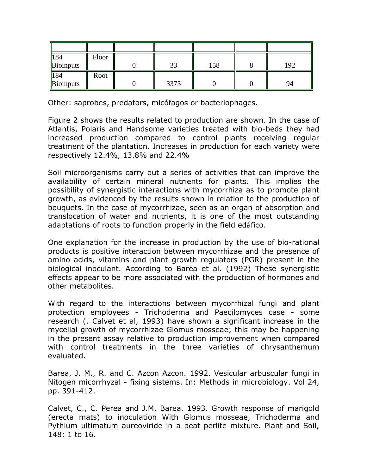| $\vert$ 184 | Floor |      |     |     |
|-------------|-------|------|-----|-----|
| Bioinputs   |       | 33   | 158 | 192 |
| $\vert$ 184 | Root  |      |     |     |
| Bioinputs   |       | 3375 |     | 94  |

Other: saprobes, predators, micófagos or bacteriophages.

Figure 2 shows the results related to production are shown. In the case of Atlantis, Polaris and Handsome varieties treated with bio-beds they had increased production compared to control plants receiving regular treatment of the plantation. Increases in production for each variety were respectively 12.4%, 13.8% and 22.4%

Soil microorganisms carry out a series of activities that can improve the availability of certain mineral nutrients for plants. This implies the possibility of synergistic interactions with mycorrhiza as to promote plant growth, as evidenced by the results shown in relation to the production of bouquets. In the case of mycorrhizae, seen as an organ of absorption and translocation of water and nutrients, it is one of the most outstanding adaptations of roots to function properly in the field edáfico.

One explanation for the increase in production by the use of bio-rational products is positive interaction between mycorrhizae and the presence of amino acids, vitamins and plant growth regulators (PGR) present in the biological inoculant. According to Barea et al. (1992) These synergistic effects appear to be more associated with the production of hormones and other metabolites.

With regard to the interactions between mycorrhizal fungi and plant protection employees - Trichoderma and Paecilomyces case - some research (. Calvet et al, 1993) have shown a significant increase in the mycelial growth of mycorrhizae Glomus mosseae; this may be happening in the present assay relative to production improvement when compared with control treatments in the three varieties of chrysanthemum evaluated.

Barea, J. M., R. and C. Azcon Azcon. 1992. Vesicular arbuscular fungi in Nitogen micorrhyzal - fixing sistems. In: Methods in microbiology. Vol 24, pp. 391-412.

Calvet, C., C. Perea and J.M. Barea. 1993. Growth response of marigold (erecta mats) to inoculation With Glomus mosseae, Trichoderma and Pythium ultimatum aureoviride in a peat perlite mixture. Plant and Soil, 148: 1 to 16.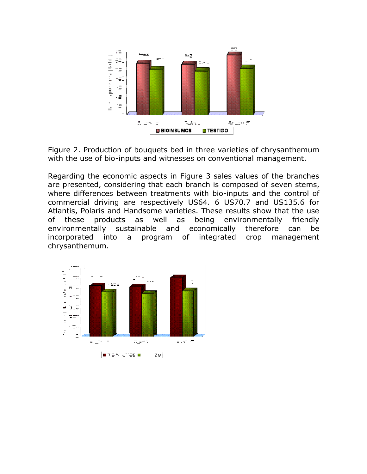



Regarding the economic aspects in Figure 3 sales values of the branches are presented, considering that each branch is composed of seven stems, where differences between treatments with bio-inputs and the control of commercial driving are respectively US64. 6 US70.7 and US135.6 for Atlantis, Polaris and Handsome varieties. These results show that the use of these products as well as being environmentally friendly environmentally sustainable and economically therefore can be incorporated into a program of integrated crop management chrysanthemum.